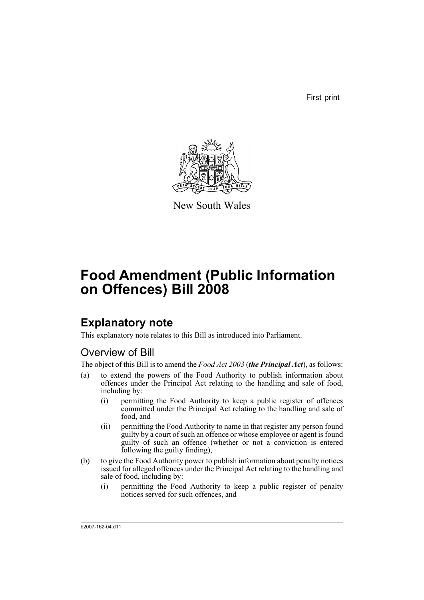First print



New South Wales

# **Food Amendment (Public Information on Offences) Bill 2008**

## **Explanatory note**

This explanatory note relates to this Bill as introduced into Parliament.

## Overview of Bill

The object of this Bill is to amend the *Food Act 2003* (*the Principal Act*), as follows:

- (a) to extend the powers of the Food Authority to publish information about offences under the Principal Act relating to the handling and sale of food, including by:
	- (i) permitting the Food Authority to keep a public register of offences committed under the Principal Act relating to the handling and sale of food, and
	- (ii) permitting the Food Authority to name in that register any person found guilty by a court of such an offence or whose employee or agent is found guilty of such an offence (whether or not a conviction is entered following the guilty finding),
- (b) to give the Food Authority power to publish information about penalty notices issued for alleged offences under the Principal Act relating to the handling and sale of food, including by:
	- (i) permitting the Food Authority to keep a public register of penalty notices served for such offences, and

b2007-162-04.d11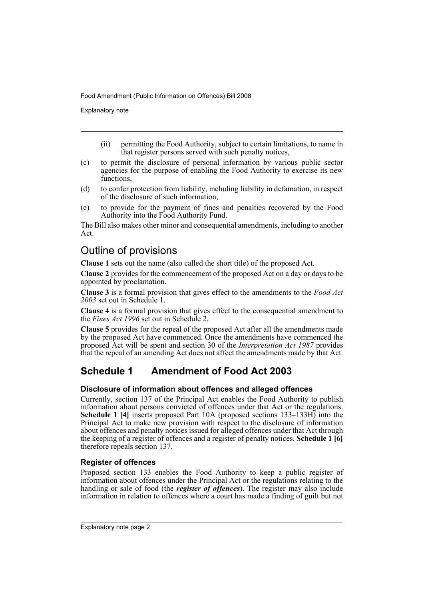Explanatory note

- (ii) permitting the Food Authority, subject to certain limitations, to name in that register persons served with such penalty notices,
- (c) to permit the disclosure of personal information by various public sector agencies for the purpose of enabling the Food Authority to exercise its new functions.
- (d) to confer protection from liability, including liability in defamation, in respect of the disclosure of such information,
- (e) to provide for the payment of fines and penalties recovered by the Food Authority into the Food Authority Fund.

The Bill also makes other minor and consequential amendments, including to another Act.

## Outline of provisions

**Clause 1** sets out the name (also called the short title) of the proposed Act.

**Clause 2** provides for the commencement of the proposed Act on a day or days to be appointed by proclamation.

**Clause 3** is a formal provision that gives effect to the amendments to the *Food Act 2003* set out in Schedule 1.

**Clause 4** is a formal provision that gives effect to the consequential amendment to the *Fines Act 1996* set out in Schedule 2.

**Clause 5** provides for the repeal of the proposed Act after all the amendments made by the proposed Act have commenced. Once the amendments have commenced the proposed Act will be spent and section 30 of the *Interpretation Act 1987* provides that the repeal of an amending Act does not affect the amendments made by that Act.

## **Schedule 1 Amendment of Food Act 2003**

### **Disclosure of information about offences and alleged offences**

Currently, section 137 of the Principal Act enables the Food Authority to publish information about persons convicted of offences under that Act or the regulations. **Schedule 1 [4]** inserts proposed Part 10A (proposed sections 133–133H) into the Principal Act to make new provision with respect to the disclosure of information about offences and penalty notices issued for alleged offences under that Act through the keeping of a register of offences and a register of penalty notices. **Schedule 1 [6]** therefore repeals section 137.

### **Register of offences**

Proposed section 133 enables the Food Authority to keep a public register of information about offences under the Principal Act or the regulations relating to the handling or sale of food (the *register of offences*). The register may also include information in relation to offences where a court has made a finding of guilt but not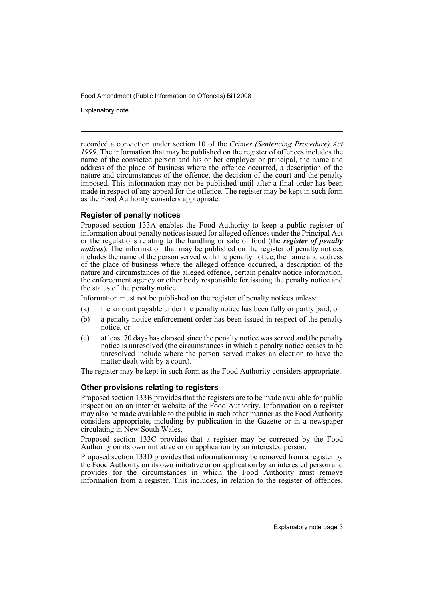Explanatory note

recorded a conviction under section 10 of the *Crimes (Sentencing Procedure) Act 1999*. The information that may be published on the register of offences includes the name of the convicted person and his or her employer or principal, the name and address of the place of business where the offence occurred, a description of the nature and circumstances of the offence, the decision of the court and the penalty imposed. This information may not be published until after a final order has been made in respect of any appeal for the offence. The register may be kept in such form as the Food Authority considers appropriate.

### **Register of penalty notices**

Proposed section 133A enables the Food Authority to keep a public register of information about penalty notices issued for alleged offences under the Principal Act or the regulations relating to the handling or sale of food (the *register of penalty notices*). The information that may be published on the register of penalty notices includes the name of the person served with the penalty notice, the name and address of the place of business where the alleged offence occurred, a description of the nature and circumstances of the alleged offence, certain penalty notice information, the enforcement agency or other body responsible for issuing the penalty notice and the status of the penalty notice.

Information must not be published on the register of penalty notices unless:

- (a) the amount payable under the penalty notice has been fully or partly paid, or
- (b) a penalty notice enforcement order has been issued in respect of the penalty notice, or
- (c) at least 70 days has elapsed since the penalty notice was served and the penalty notice is unresolved (the circumstances in which a penalty notice ceases to be unresolved include where the person served makes an election to have the matter dealt with by a court).

The register may be kept in such form as the Food Authority considers appropriate.

### **Other provisions relating to registers**

Proposed section 133B provides that the registers are to be made available for public inspection on an internet website of the Food Authority. Information on a register may also be made available to the public in such other manner as the Food Authority considers appropriate, including by publication in the Gazette or in a newspaper circulating in New South Wales.

Proposed section 133C provides that a register may be corrected by the Food Authority on its own initiative or on application by an interested person.

Proposed section 133D provides that information may be removed from a register by the Food Authority on its own initiative or on application by an interested person and provides for the circumstances in which the Food Authority must remove information from a register. This includes, in relation to the register of offences,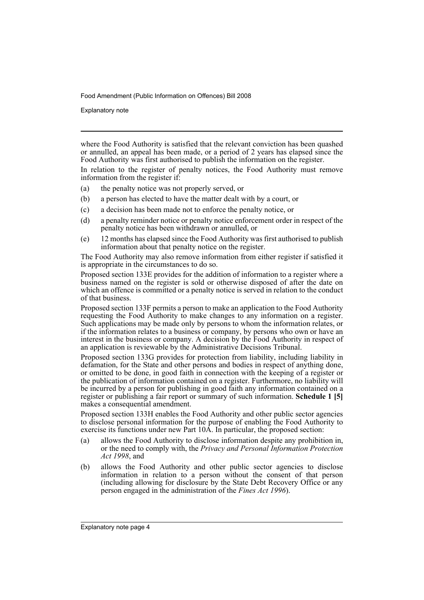Explanatory note

where the Food Authority is satisfied that the relevant conviction has been quashed or annulled, an appeal has been made, or a period of 2 years has elapsed since the Food Authority was first authorised to publish the information on the register.

In relation to the register of penalty notices, the Food Authority must remove information from the register if:

- (a) the penalty notice was not properly served, or
- (b) a person has elected to have the matter dealt with by a court, or
- (c) a decision has been made not to enforce the penalty notice, or
- (d) a penalty reminder notice or penalty notice enforcement order in respect of the penalty notice has been withdrawn or annulled, or
- (e) 12 months has elapsed since the Food Authority was first authorised to publish information about that penalty notice on the register.

The Food Authority may also remove information from either register if satisfied it is appropriate in the circumstances to do so.

Proposed section 133E provides for the addition of information to a register where a business named on the register is sold or otherwise disposed of after the date on which an offence is committed or a penalty notice is served in relation to the conduct of that business.

Proposed section 133F permits a person to make an application to the Food Authority requesting the Food Authority to make changes to any information on a register. Such applications may be made only by persons to whom the information relates, or if the information relates to a business or company, by persons who own or have an interest in the business or company. A decision by the Food Authority in respect of an application is reviewable by the Administrative Decisions Tribunal.

Proposed section 133G provides for protection from liability, including liability in defamation, for the State and other persons and bodies in respect of anything done, or omitted to be done, in good faith in connection with the keeping of a register or the publication of information contained on a register. Furthermore, no liability will be incurred by a person for publishing in good faith any information contained on a register or publishing a fair report or summary of such information. **Schedule 1 [5]** makes a consequential amendment.

Proposed section 133H enables the Food Authority and other public sector agencies to disclose personal information for the purpose of enabling the Food Authority to exercise its functions under new Part 10 $\hat{A}$ . In particular, the proposed section:

- (a) allows the Food Authority to disclose information despite any prohibition in, or the need to comply with, the *Privacy and Personal Information Protection Act 1998*, and
- (b) allows the Food Authority and other public sector agencies to disclose information in relation to a person without the consent of that person (including allowing for disclosure by the State Debt Recovery Office or any person engaged in the administration of the *Fines Act 1996*).

Explanatory note page 4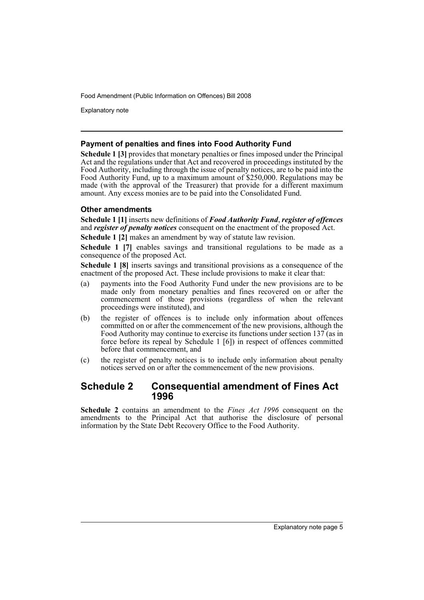Explanatory note

### **Payment of penalties and fines into Food Authority Fund**

**Schedule 1 [3]** provides that monetary penalties or fines imposed under the Principal Act and the regulations under that Act and recovered in proceedings instituted by the Food Authority, including through the issue of penalty notices, are to be paid into the Food Authority Fund, up to a maximum amount of \$250,000. Regulations may be made (with the approval of the Treasurer) that provide for a different maximum amount. Any excess monies are to be paid into the Consolidated Fund.

### **Other amendments**

**Schedule 1 [1]** inserts new definitions of *Food Authority Fund*, *register of offences* and *register of penalty notices* consequent on the enactment of the proposed Act.

**Schedule 1 [2]** makes an amendment by way of statute law revision.

**Schedule 1 [7]** enables savings and transitional regulations to be made as a consequence of the proposed Act.

**Schedule 1 [8]** inserts savings and transitional provisions as a consequence of the enactment of the proposed Act. These include provisions to make it clear that:

- (a) payments into the Food Authority Fund under the new provisions are to be made only from monetary penalties and fines recovered on or after the commencement of those provisions (regardless of when the relevant proceedings were instituted), and
- (b) the register of offences is to include only information about offences committed on or after the commencement of the new provisions, although the Food Authority may continue to exercise its functions under section 137 (as in force before its repeal by Schedule 1 [6]) in respect of offences committed before that commencement, and
- (c) the register of penalty notices is to include only information about penalty notices served on or after the commencement of the new provisions.

### **Schedule 2 Consequential amendment of Fines Act 1996**

**Schedule 2** contains an amendment to the *Fines Act 1996* consequent on the amendments to the Principal Act that authorise the disclosure of personal information by the State Debt Recovery Office to the Food Authority.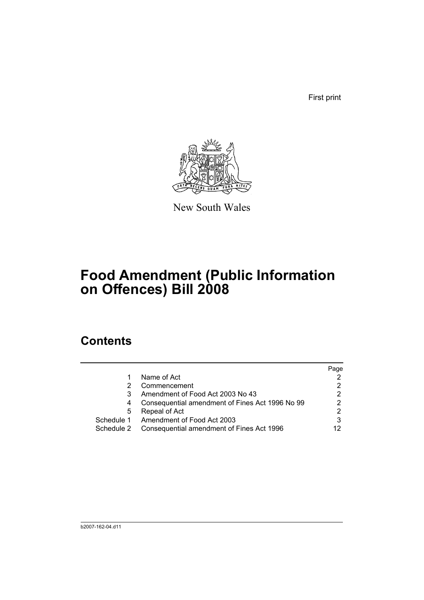First print



New South Wales

# **Food Amendment (Public Information on Offences) Bill 2008**

## **Contents**

|            |                                                 | Page |
|------------|-------------------------------------------------|------|
|            | Name of Act                                     |      |
|            | Commencement                                    |      |
|            | Amendment of Food Act 2003 No 43                | 2    |
| 4          | Consequential amendment of Fines Act 1996 No 99 | っ    |
| 5          | Repeal of Act                                   |      |
| Schedule 1 | Amendment of Food Act 2003                      |      |
| Schedule 2 | Consequential amendment of Fines Act 1996       |      |
|            |                                                 |      |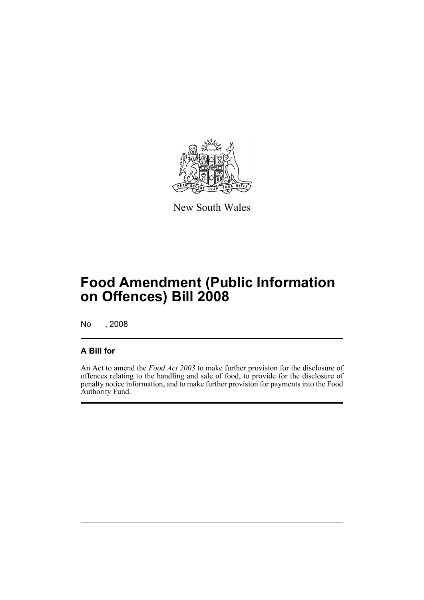

New South Wales

# **Food Amendment (Public Information on Offences) Bill 2008**

No , 2008

### **A Bill for**

An Act to amend the *Food Act 2003* to make further provision for the disclosure of offences relating to the handling and sale of food, to provide for the disclosure of penalty notice information, and to make further provision for payments into the Food Authority Fund.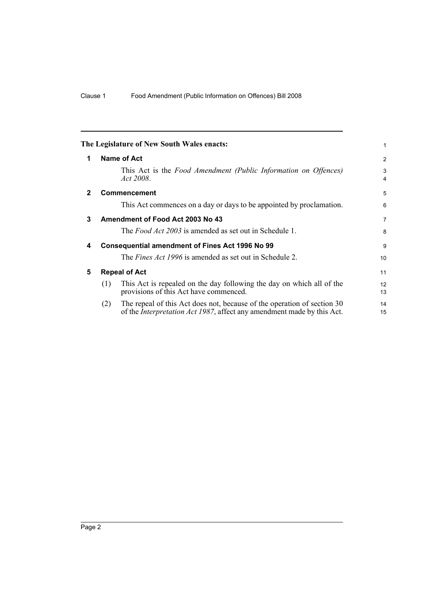<span id="page-9-4"></span><span id="page-9-3"></span><span id="page-9-2"></span><span id="page-9-1"></span><span id="page-9-0"></span>

|              |                      | The Legislature of New South Wales enacts:                                                                                                                | 1              |
|--------------|----------------------|-----------------------------------------------------------------------------------------------------------------------------------------------------------|----------------|
| 1            |                      | <b>Name of Act</b>                                                                                                                                        | 2              |
|              |                      | This Act is the <i>Food Amendment (Public Information on Offences)</i><br>Act 2008.                                                                       | 3<br>4         |
| $\mathbf{2}$ |                      | <b>Commencement</b>                                                                                                                                       | 5              |
|              |                      | This Act commences on a day or days to be appointed by proclamation.                                                                                      | 6              |
| 3            |                      | Amendment of Food Act 2003 No 43                                                                                                                          | $\overline{7}$ |
|              |                      | The <i>Food Act 2003</i> is amended as set out in Schedule 1.                                                                                             | 8              |
| 4            |                      | <b>Consequential amendment of Fines Act 1996 No 99</b>                                                                                                    | 9              |
|              |                      | The <i>Fines Act 1996</i> is amended as set out in Schedule 2.                                                                                            | 10             |
| 5            | <b>Repeal of Act</b> |                                                                                                                                                           |                |
|              | (1)                  | This Act is repealed on the day following the day on which all of the<br>provisions of this Act have commenced.                                           | 12<br>13       |
|              | (2)                  | The repeal of this Act does not, because of the operation of section 30<br>of the <i>Interpretation Act 1987</i> , affect any amendment made by this Act. | 14<br>15       |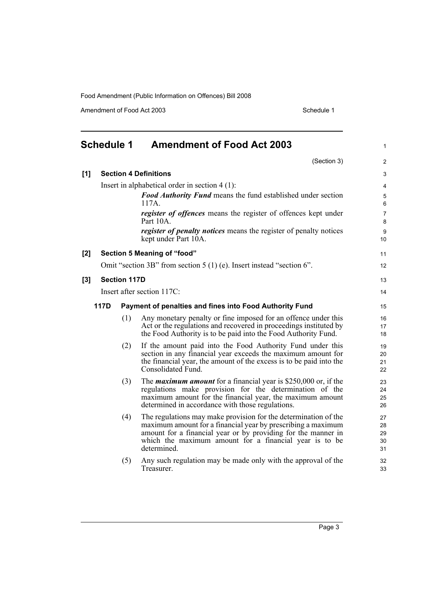<span id="page-10-0"></span>

|       | <b>Schedule 1</b> |                     | <b>Amendment of Food Act 2003</b>                                                                                                                                                                                                                                         | $\mathbf{1}$               |
|-------|-------------------|---------------------|---------------------------------------------------------------------------------------------------------------------------------------------------------------------------------------------------------------------------------------------------------------------------|----------------------------|
|       |                   |                     | (Section 3)                                                                                                                                                                                                                                                               | $\overline{2}$             |
| [1]   |                   |                     | <b>Section 4 Definitions</b>                                                                                                                                                                                                                                              | 3                          |
|       |                   |                     | Insert in alphabetical order in section $4(1)$ :                                                                                                                                                                                                                          | 4                          |
|       |                   |                     | <b>Food Authority Fund</b> means the fund established under section<br>117A                                                                                                                                                                                               | $\mathbf 5$<br>6           |
|       |                   |                     | register of offences means the register of offences kept under<br>Part 10A.                                                                                                                                                                                               | $\overline{7}$<br>8        |
|       |                   |                     | <i>register of penalty notices</i> means the register of penalty notices<br>kept under Part 10A.                                                                                                                                                                          | 9<br>10                    |
| $[2]$ |                   |                     | Section 5 Meaning of "food"                                                                                                                                                                                                                                               | 11                         |
|       |                   |                     | Omit "section 3B" from section $5(1)$ (e). Insert instead "section 6".                                                                                                                                                                                                    | 12                         |
| [3]   |                   | <b>Section 117D</b> |                                                                                                                                                                                                                                                                           | 13                         |
|       |                   |                     | Insert after section 117C:                                                                                                                                                                                                                                                | 14                         |
|       | <b>117D</b>       |                     | Payment of penalties and fines into Food Authority Fund                                                                                                                                                                                                                   | 15                         |
|       |                   | (1)                 | Any monetary penalty or fine imposed for an offence under this<br>Act or the regulations and recovered in proceedings instituted by<br>the Food Authority is to be paid into the Food Authority Fund.                                                                     | 16<br>17<br>18             |
|       |                   | (2)                 | If the amount paid into the Food Authority Fund under this<br>section in any financial year exceeds the maximum amount for<br>the financial year, the amount of the excess is to be paid into the<br>Consolidated Fund.                                                   | 19<br>20<br>21<br>22       |
|       |                   | (3)                 | The <i>maximum amount</i> for a financial year is \$250,000 or, if the<br>regulations make provision for the determination of the<br>maximum amount for the financial year, the maximum amount<br>determined in accordance with those regulations.                        | 23<br>24<br>25<br>26       |
|       |                   | (4)                 | The regulations may make provision for the determination of the<br>maximum amount for a financial year by prescribing a maximum<br>amount for a financial year or by providing for the manner in<br>which the maximum amount for a financial year is to be<br>determined. | 27<br>28<br>29<br>30<br>31 |
|       |                   | (5)                 | Any such regulation may be made only with the approval of the<br>Treasurer.                                                                                                                                                                                               | 32<br>33                   |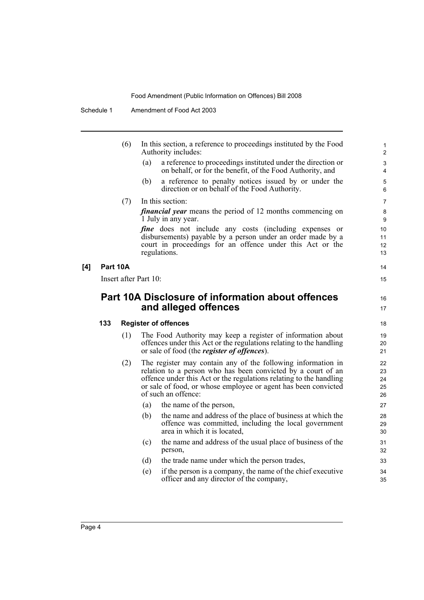|     |          | (6) | In this section, a reference to proceedings instituted by the Food<br>Authority includes:                                                                                                                                                                                                   | 1<br>2                     |
|-----|----------|-----|---------------------------------------------------------------------------------------------------------------------------------------------------------------------------------------------------------------------------------------------------------------------------------------------|----------------------------|
|     |          |     | a reference to proceedings instituted under the direction or<br>(a)<br>on behalf, or for the benefit, of the Food Authority, and                                                                                                                                                            | 3<br>$\overline{4}$        |
|     |          |     | a reference to penalty notices issued by or under the<br>(b)<br>direction or on behalf of the Food Authority.                                                                                                                                                                               | 5<br>6                     |
|     |          | (7) | In this section:                                                                                                                                                                                                                                                                            | $\overline{7}$             |
|     |          |     | <i>financial year</i> means the period of 12 months commencing on<br>1 July in any year.                                                                                                                                                                                                    | 8<br>9                     |
|     |          |     | <i>fine</i> does not include any costs (including expenses or<br>disbursements) payable by a person under an order made by a<br>court in proceedings for an offence under this Act or the<br>regulations.                                                                                   | 10<br>11<br>12<br>13       |
| [4] | Part 10A |     |                                                                                                                                                                                                                                                                                             | 14                         |
|     |          |     | Insert after Part 10:                                                                                                                                                                                                                                                                       | 15                         |
|     |          |     |                                                                                                                                                                                                                                                                                             |                            |
|     |          |     | Part 10A Disclosure of information about offences<br>and alleged offences                                                                                                                                                                                                                   | 16<br>17                   |
|     | 133      |     | <b>Register of offences</b>                                                                                                                                                                                                                                                                 | 18                         |
|     |          | (1) | The Food Authority may keep a register of information about<br>offences under this Act or the regulations relating to the handling<br>or sale of food (the <i>register of offences</i> ).                                                                                                   | 19<br>20<br>21             |
|     |          | (2) | The register may contain any of the following information in<br>relation to a person who has been convicted by a court of an<br>offence under this Act or the regulations relating to the handling<br>or sale of food, or whose employee or agent has been convicted<br>of such an offence: | 22<br>23<br>24<br>25<br>26 |
|     |          |     | (a)<br>the name of the person,                                                                                                                                                                                                                                                              | 27                         |
|     |          |     | (b)<br>the name and address of the place of business at which the<br>offence was committed, including the local government<br>area in which it is located.                                                                                                                                  | 28<br>29<br>30             |
|     |          |     | the name and address of the usual place of business of the<br>(c)<br>person,                                                                                                                                                                                                                | 31<br>32                   |
|     |          |     | the trade name under which the person trades,<br>(d)                                                                                                                                                                                                                                        | 33                         |
|     |          |     | if the person is a company, the name of the chief executive<br>(e)<br>officer and any director of the company,                                                                                                                                                                              | 34<br>35                   |
|     |          |     |                                                                                                                                                                                                                                                                                             |                            |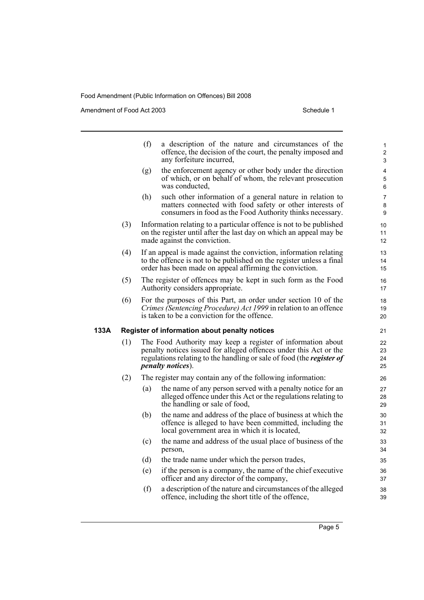|      |     | (f) | a description of the nature and circumstances of the<br>offence, the decision of the court, the penalty imposed and<br>any forfeiture incurred,                                                                                               | 1<br>$\overline{2}$<br>3      |
|------|-----|-----|-----------------------------------------------------------------------------------------------------------------------------------------------------------------------------------------------------------------------------------------------|-------------------------------|
|      |     | (g) | the enforcement agency or other body under the direction<br>of which, or on behalf of whom, the relevant prosecution<br>was conducted,                                                                                                        | 4<br>5<br>6                   |
|      |     | (h) | such other information of a general nature in relation to<br>matters connected with food safety or other interests of<br>consumers in food as the Food Authority thinks necessary.                                                            | 7<br>8<br>9                   |
|      | (3) |     | Information relating to a particular offence is not to be published<br>on the register until after the last day on which an appeal may be<br>made against the conviction.                                                                     | 10<br>11<br>$12 \overline{ }$ |
|      | (4) |     | If an appeal is made against the conviction, information relating<br>to the offence is not to be published on the register unless a final<br>order has been made on appeal affirming the conviction.                                          | 13<br>14<br>15                |
|      | (5) |     | The register of offences may be kept in such form as the Food<br>Authority considers appropriate.                                                                                                                                             | 16<br>17                      |
|      | (6) |     | For the purposes of this Part, an order under section 10 of the<br>Crimes (Sentencing Procedure) Act 1999 in relation to an offence<br>is taken to be a conviction for the offence.                                                           | 18<br>19<br>20                |
| 133A |     |     | Register of information about penalty notices                                                                                                                                                                                                 | 21                            |
|      | (1) |     | The Food Authority may keep a register of information about<br>penalty notices issued for alleged offences under this Act or the<br>regulations relating to the handling or sale of food (the <i>register of</i><br><i>penalty notices</i> ). | 22<br>23<br>24<br>25          |
|      | (2) |     | The register may contain any of the following information:                                                                                                                                                                                    | 26                            |
|      |     | (a) | the name of any person served with a penalty notice for an<br>alleged offence under this Act or the regulations relating to<br>the handling or sale of food,                                                                                  | 27<br>28<br>29                |
|      |     | (b) | the name and address of the place of business at which the<br>offence is alleged to have been committed, including the<br>local government area in which it is located,                                                                       | 30<br>31<br>32                |
|      |     | (c) | the name and address of the usual place of business of the<br>person,                                                                                                                                                                         | 33<br>34                      |
|      |     | (d) | the trade name under which the person trades,                                                                                                                                                                                                 | 35                            |
|      |     | (e) | if the person is a company, the name of the chief executive<br>officer and any director of the company,                                                                                                                                       | 36<br>37                      |
|      |     | (f) | a description of the nature and circumstances of the alleged<br>offence, including the short title of the offence,                                                                                                                            | 38<br>39                      |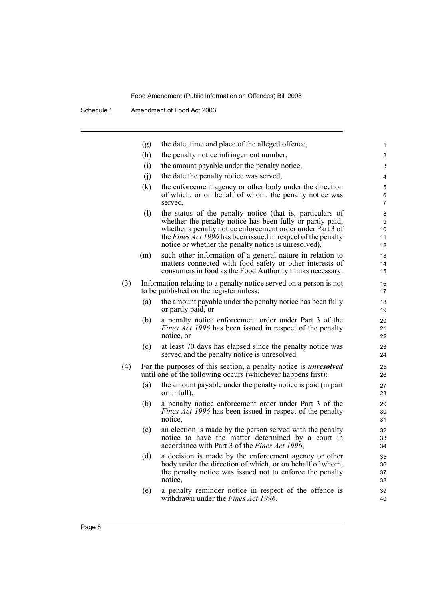|     | (g)                        | the date, time and place of the alleged offence,                                                                                                                                                                                                                                                                    | 1                        |
|-----|----------------------------|---------------------------------------------------------------------------------------------------------------------------------------------------------------------------------------------------------------------------------------------------------------------------------------------------------------------|--------------------------|
|     | (h)                        | the penalty notice infringement number,                                                                                                                                                                                                                                                                             | $\overline{\mathbf{c}}$  |
|     | (i)                        | the amount payable under the penalty notice,                                                                                                                                                                                                                                                                        | 3                        |
|     | (j)                        | the date the penalty notice was served,                                                                                                                                                                                                                                                                             | $\overline{4}$           |
|     | (k)                        | the enforcement agency or other body under the direction<br>of which, or on behalf of whom, the penalty notice was<br>served,                                                                                                                                                                                       | 5<br>6<br>$\overline{7}$ |
|     | $\left( \mathrm{l}\right)$ | the status of the penalty notice (that is, particulars of<br>whether the penalty notice has been fully or partly paid,<br>whether a penalty notice enforcement order under Part 3 of<br>the <i>Fines Act 1996</i> has been issued in respect of the penalty<br>notice or whether the penalty notice is unresolved), | 8<br>9<br>10<br>11<br>12 |
|     | (m)                        | such other information of a general nature in relation to<br>matters connected with food safety or other interests of<br>consumers in food as the Food Authority thinks necessary.                                                                                                                                  | 13<br>14<br>15           |
| (3) |                            | Information relating to a penalty notice served on a person is not<br>to be published on the register unless:                                                                                                                                                                                                       | 16<br>17                 |
|     | (a)                        | the amount payable under the penalty notice has been fully<br>or partly paid, or                                                                                                                                                                                                                                    | 18<br>19                 |
|     | (b)                        | a penalty notice enforcement order under Part 3 of the<br><i>Fines Act 1996</i> has been issued in respect of the penalty<br>notice, or                                                                                                                                                                             | 20<br>21<br>22           |
|     | (c)                        | at least 70 days has elapsed since the penalty notice was<br>served and the penalty notice is unresolved.                                                                                                                                                                                                           | 23<br>24                 |
| (4) |                            | For the purposes of this section, a penalty notice is <i>unresolved</i><br>until one of the following occurs (whichever happens first):                                                                                                                                                                             | 25<br>26                 |
|     | (a)                        | the amount payable under the penalty notice is paid (in part)<br>or in full),                                                                                                                                                                                                                                       | 27<br>28                 |
|     | (b)                        | a penalty notice enforcement order under Part 3 of the<br><i>Fines Act 1996</i> has been issued in respect of the penalty<br>notice,                                                                                                                                                                                | 29<br>30<br>31           |
|     | (c)                        | an election is made by the person served with the penalty<br>notice to have the matter determined by a court in<br>accordance with Part 3 of the Fines Act 1996,                                                                                                                                                    | 32<br>33<br>34           |
|     | (d)                        | a decision is made by the enforcement agency or other<br>body under the direction of which, or on behalf of whom,<br>the penalty notice was issued not to enforce the penalty<br>notice,                                                                                                                            | 35<br>36<br>37<br>38     |
|     | (e)                        | a penalty reminder notice in respect of the offence is<br>withdrawn under the <i>Fines Act 1996</i> .                                                                                                                                                                                                               | 39<br>40                 |
|     |                            |                                                                                                                                                                                                                                                                                                                     |                          |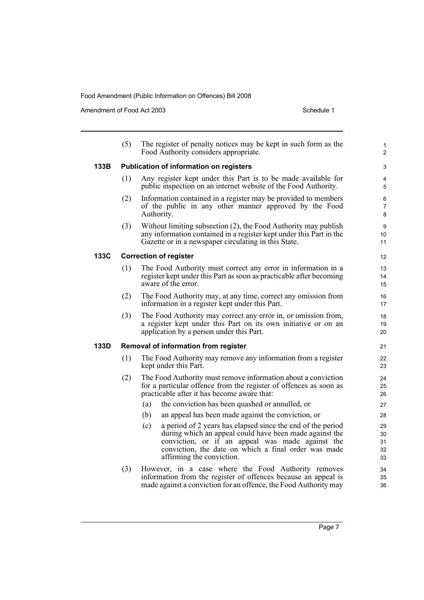|      | (5)                                  | The register of penalty notices may be kept in such form as the<br>Food Authority considers appropriate.                                                                                                                                  | 1<br>$\overline{2}$      |  |  |
|------|--------------------------------------|-------------------------------------------------------------------------------------------------------------------------------------------------------------------------------------------------------------------------------------------|--------------------------|--|--|
| 133B |                                      | Publication of information on registers                                                                                                                                                                                                   | 3                        |  |  |
|      | (1)                                  | Any register kept under this Part is to be made available for<br>public inspection on an internet website of the Food Authority.                                                                                                          | 4<br>5                   |  |  |
|      | (2)                                  | Information contained in a register may be provided to members<br>of the public in any other manner approved by the Food<br>Authority.                                                                                                    | 6<br>$\overline{7}$<br>8 |  |  |
|      | (3)                                  | Without limiting subsection (2), the Food Authority may publish<br>any information contained in a register kept under this Part in the<br>Gazette or in a newspaper circulating in this State.                                            | 9<br>10<br>11            |  |  |
| 133C |                                      | <b>Correction of register</b>                                                                                                                                                                                                             | 12                       |  |  |
|      | (1)                                  | The Food Authority must correct any error in information in a<br>register kept under this Part as soon as practicable after becoming<br>aware of the error.                                                                               | 13<br>14<br>15           |  |  |
|      | (2)                                  | The Food Authority may, at any time, correct any omission from<br>information in a register kept under this Part.                                                                                                                         | 16<br>17                 |  |  |
|      | (3)                                  | The Food Authority may correct any error in, or omission from,<br>a register kept under this Part on its own initiative or on an<br>application by a person under this Part.                                                              | 18<br>19<br>20           |  |  |
| 133D | Removal of information from register |                                                                                                                                                                                                                                           |                          |  |  |
|      | (1)                                  | The Food Authority may remove any information from a register<br>kept under this Part.                                                                                                                                                    | 22<br>23                 |  |  |
|      | (2)                                  | The Food Authority must remove information about a conviction<br>for a particular offence from the register of offences as soon as<br>practicable after it has become aware that:                                                         | 24<br>25<br>26           |  |  |
|      |                                      | (a)<br>the conviction has been quashed or annulled, or                                                                                                                                                                                    | 27                       |  |  |
|      |                                      | (b)<br>an appeal has been made against the conviction, or                                                                                                                                                                                 | 28                       |  |  |
|      |                                      | a period of 2 years has elapsed since the end of the period<br>(c)<br>during which an appeal could have been made against the<br>conviction, or if an appeal was made against the<br>conviction, the date on which a final order was made | 29<br>30<br>31<br>32     |  |  |
|      |                                      | affirming the conviction.                                                                                                                                                                                                                 | 33                       |  |  |
|      | (3)                                  | However, in a case where the Food Authority removes<br>information from the register of offences because an appeal is<br>made against a conviction for an offence, the Food Authority may                                                 | 34<br>35<br>36           |  |  |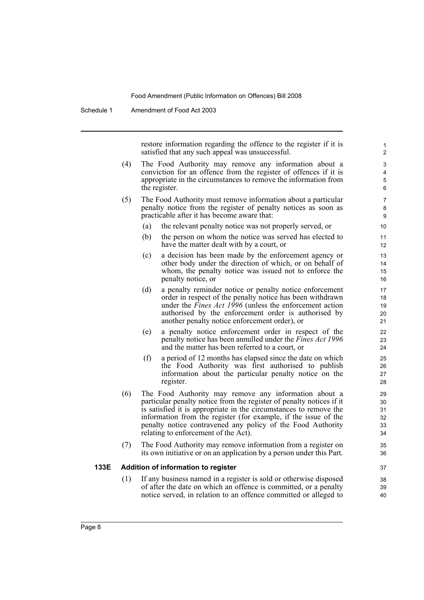Schedule 1 Amendment of Food Act 2003

restore information regarding the offence to the register if it is satisfied that any such appeal was unsuccessful.

- (4) The Food Authority may remove any information about a conviction for an offence from the register of offences if it is appropriate in the circumstances to remove the information from the register.
- (5) The Food Authority must remove information about a particular penalty notice from the register of penalty notices as soon as practicable after it has become aware that:
	- (a) the relevant penalty notice was not properly served, or
	- (b) the person on whom the notice was served has elected to have the matter dealt with by a court, or
	- (c) a decision has been made by the enforcement agency or other body under the direction of which, or on behalf of whom, the penalty notice was issued not to enforce the penalty notice, or
	- (d) a penalty reminder notice or penalty notice enforcement order in respect of the penalty notice has been withdrawn under the *Fines Act 1996* (unless the enforcement action authorised by the enforcement order is authorised by another penalty notice enforcement order), or
	- (e) a penalty notice enforcement order in respect of the penalty notice has been annulled under the *Fines Act 1996* and the matter has been referred to a court, or
	- (f) a period of 12 months has elapsed since the date on which the Food Authority was first authorised to publish information about the particular penalty notice on the register.
- (6) The Food Authority may remove any information about a particular penalty notice from the register of penalty notices if it is satisfied it is appropriate in the circumstances to remove the information from the register (for example, if the issue of the penalty notice contravened any policy of the Food Authority relating to enforcement of the Act).
- (7) The Food Authority may remove information from a register on its own initiative or on an application by a person under this Part.

#### **133E Addition of information to register**

(1) If any business named in a register is sold or otherwise disposed of after the date on which an offence is committed, or a penalty notice served, in relation to an offence committed or alleged to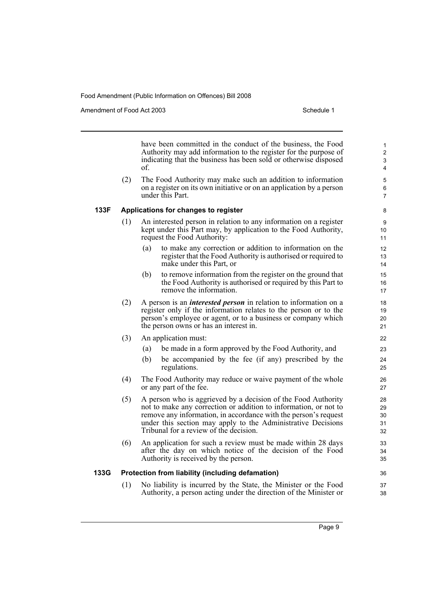Amendment of Food Act 2003 American control of the Schedule 1

36 37 38

have been committed in the conduct of the business, the Food Authority may add information to the register for the purpose of indicating that the business has been sold or otherwise disposed of.

(2) The Food Authority may make such an addition to information on a register on its own initiative or on an application by a person under this Part.

#### **133F Applications for changes to register**

- (1) An interested person in relation to any information on a register kept under this Part may, by application to the Food Authority, request the Food Authority:
	- (a) to make any correction or addition to information on the register that the Food Authority is authorised or required to make under this Part, or
	- (b) to remove information from the register on the ground that the Food Authority is authorised or required by this Part to remove the information.
- (2) A person is an *interested person* in relation to information on a register only if the information relates to the person or to the person's employee or agent, or to a business or company which the person owns or has an interest in.
- (3) An application must:
	- (a) be made in a form approved by the Food Authority, and
	- (b) be accompanied by the fee (if any) prescribed by the regulations.
- (4) The Food Authority may reduce or waive payment of the whole or any part of the fee.
- (5) A person who is aggrieved by a decision of the Food Authority not to make any correction or addition to information, or not to remove any information, in accordance with the person's request under this section may apply to the Administrative Decisions Tribunal for a review of the decision.
- (6) An application for such a review must be made within 28 days after the day on which notice of the decision of the Food Authority is received by the person.

### **133G Protection from liability (including defamation)**

(1) No liability is incurred by the State, the Minister or the Food Authority, a person acting under the direction of the Minister or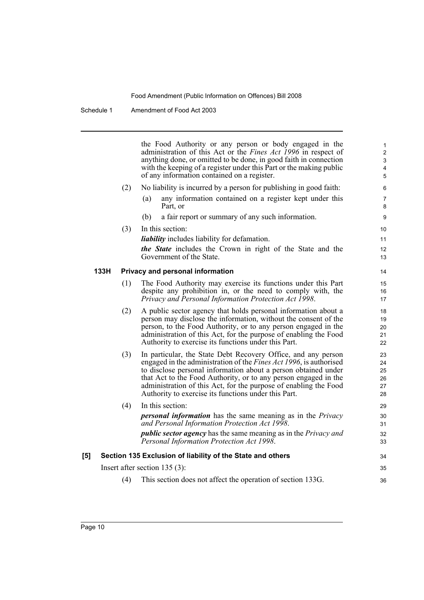Schedule 1 Amendment of Food Act 2003

the Food Authority or any person or body engaged in the administration of this Act or the *Fines Act 1996* in respect of anything done, or omitted to be done, in good faith in connection with the keeping of a register under this Part or the making public of any information contained on a register.

35 36

#### (2) No liability is incurred by a person for publishing in good faith:

- (a) any information contained on a register kept under this Part, or
- (b) a fair report or summary of any such information.
- (3) In this section: *liability* includes liability for defamation. *the State* includes the Crown in right of the State and the
	- Government of the State.

### **133H Privacy and personal information**

- (1) The Food Authority may exercise its functions under this Part despite any prohibition in, or the need to comply with, the *Privacy and Personal Information Protection Act 1998*.
- (2) A public sector agency that holds personal information about a person may disclose the information, without the consent of the person, to the Food Authority, or to any person engaged in the administration of this Act, for the purpose of enabling the Food Authority to exercise its functions under this Part.
- (3) In particular, the State Debt Recovery Office, and any person engaged in the administration of the *Fines Act 1996*, is authorised to disclose personal information about a person obtained under that Act to the Food Authority, or to any person engaged in the administration of this Act, for the purpose of enabling the Food Authority to exercise its functions under this Part.
- (4) In this section: *personal information* has the same meaning as in the *Privacy and Personal Information Protection Act 1998*. *public sector agency* has the same meaning as in the *Privacy and Personal Information Protection Act 1998*. **[5] Section 135 Exclusion of liability of the State and others** 29 30 31 32 33 34

Insert after section 135 (3):

(4) This section does not affect the operation of section 133G.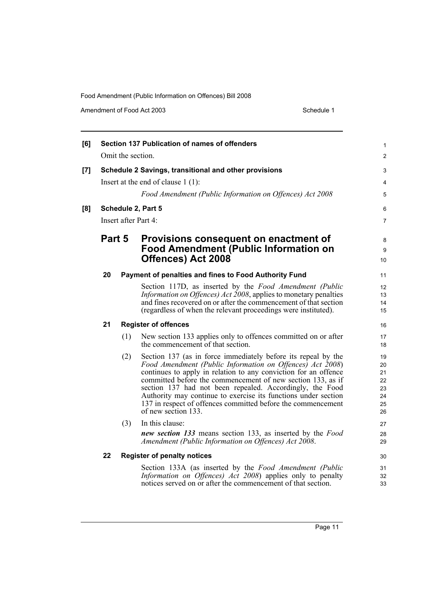| [6] |        |     | Section 137 Publication of names of offenders                                                                                                                                                                                                                                                                                                                                                                                                                                     | 1                                            |
|-----|--------|-----|-----------------------------------------------------------------------------------------------------------------------------------------------------------------------------------------------------------------------------------------------------------------------------------------------------------------------------------------------------------------------------------------------------------------------------------------------------------------------------------|----------------------------------------------|
|     |        |     | Omit the section.                                                                                                                                                                                                                                                                                                                                                                                                                                                                 | $\overline{c}$                               |
| [7] |        |     | Schedule 2 Savings, transitional and other provisions<br>Insert at the end of clause $1(1)$ :<br>Food Amendment (Public Information on Offences) Act 2008                                                                                                                                                                                                                                                                                                                         | 3<br>4<br>5                                  |
| [8] |        |     | Schedule 2, Part 5<br>Insert after Part 4:                                                                                                                                                                                                                                                                                                                                                                                                                                        | 6<br>7                                       |
|     | Part 5 |     | Provisions consequent on enactment of<br><b>Food Amendment (Public Information on</b><br><b>Offences) Act 2008</b>                                                                                                                                                                                                                                                                                                                                                                | 8<br>9<br>10                                 |
|     | 20     |     | Payment of penalties and fines to Food Authority Fund                                                                                                                                                                                                                                                                                                                                                                                                                             | 11                                           |
|     |        |     | Section 117D, as inserted by the Food Amendment (Public<br><i>Information on Offences) Act 2008</i> , applies to monetary penalties<br>and fines recovered on or after the commencement of that section<br>(regardless of when the relevant proceedings were instituted).                                                                                                                                                                                                         | 12<br>13<br>14<br>15                         |
|     | 21     |     | <b>Register of offences</b>                                                                                                                                                                                                                                                                                                                                                                                                                                                       | 16                                           |
|     |        | (1) | New section 133 applies only to offences committed on or after<br>the commencement of that section.                                                                                                                                                                                                                                                                                                                                                                               | 17<br>18                                     |
|     |        | (2) | Section 137 (as in force immediately before its repeal by the<br>Food Amendment (Public Information on Offences) Act 2008)<br>continues to apply in relation to any conviction for an offence<br>committed before the commencement of new section 133, as if<br>section 137 had not been repealed. Accordingly, the Food<br>Authority may continue to exercise its functions under section<br>137 in respect of offences committed before the commencement<br>of new section 133. | 19<br>20<br>21<br>22<br>23<br>24<br>25<br>26 |
|     |        | (3) | In this clause:<br>new section 133 means section 133, as inserted by the Food<br>Amendment (Public Information on Offences) Act 2008.                                                                                                                                                                                                                                                                                                                                             | 27<br>28<br>29                               |
|     | 22     |     | <b>Register of penalty notices</b>                                                                                                                                                                                                                                                                                                                                                                                                                                                | 30                                           |
|     |        |     | Section 133A (as inserted by the Food Amendment (Public<br>Information on Offences) Act 2008) applies only to penalty<br>notices served on or after the commencement of that section.                                                                                                                                                                                                                                                                                             | 31<br>32<br>33                               |